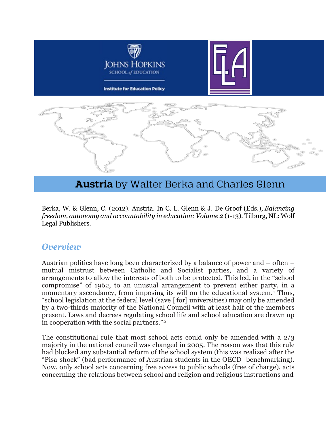

# **Austria** by Walter Berka and Charles Glenn

Berka, W. & Glenn, C. (2012). Austria. In C. L. Glenn & J. De Groof (Eds.), *Balancing freedom, autonomy and accountability in education: Volume 2* (1-13). Tilburg, NL: Wolf Legal Publishers.

#### *Overview*

Austrian politics have long been characterized by a balance of power and – often – mutual mistrust between Catholic and Socialist parties, and a variety of arrangements to allow the interests of both to be protected. This led, in the "school compromise" of 1962, to an unusual arrangement to prevent either party, in a momentary ascendancy, from imposing its will on the educational system.<sup>[1](#page-13-0)</sup> Thus, "school legislation at the federal level (save [ for] universities) may only be amended by a two-thirds majority of the National Council with at least half of the members present. Laws and decrees regulating school life and school education are drawn up in cooperation with the social partners."[2](#page-13-1)

The constitutional rule that most school acts could only be amended with a 2/3 majority in the national council was changed in 2005. The reason was that this rule had blocked any substantial reform of the school system (this was realized after the "Pisa-shock" (bad performance of Austrian students in the OECD- benchmarking). Now, only school acts concerning free access to public schools (free of charge), acts concerning the relations between school and religion and religious instructions and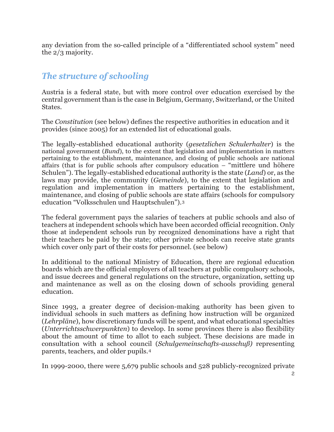any deviation from the so-called principle of a "differentiated school system" need the 2/3 majority.

## *The structure of schooling*

Austria is a federal state, but with more control over education exercised by the central government than is the case in Belgium, Germany, Switzerland, or the United States.

The *Constitution* (see below) defines the respective authorities in education and it provides (since 2005) for an extended list of educational goals.

The legally-established educational authority (*gesetzlichen Schulerhalter*) is the national government (*Bund*), to the extent that legislation and implementation in matters pertaining to the establishment, maintenance, and closing of public schools are national affairs (that is for public schools after compulsory education – "mittlere und höhere Schulen"). The legally-established educational authority is the state (*Land*) or, as the laws may provide, the community (*Gemeinde*), to the extent that legislation and regulation and implementation in matters pertaining to the establishment, maintenance, and closing of public schools are state affairs (schools for compulsory education "Volksschulen und Hauptschulen").[3](#page-13-2)

The federal government pays the salaries of teachers at public schools and also of teachers at independent schools which have been accorded official recognition. Only those at independent schools run by recognized denominations have a right that their teachers be paid by the state; other private schools can receive state grants which cover only part of their costs for personnel. (see below)

In additional to the national Ministry of Education, there are regional education boards which are the official employers of all teachers at public compulsory schools, and issue decrees and general regulations on the structure, organization, setting up and maintenance as well as on the closing down of schools providing general education.

Since 1993, a greater degree of decision-making authority has been given to individual schools in such matters as defining how instruction will be organized (*Lehrpläne*), how discretionary funds will be spent, and what educational specialties (*Unterrichtsschwerpunkten*) to develop. In some provinces there is also flexibility about the amount of time to allot to each subject. These decisions are made in consultation with a school council (*Schulgemeinschafts-ausschuß)* representing parents, teachers, and older pupils.[4](#page-13-3)

In 1999-2000, there were 5,679 public schools and 528 publicly-recognized private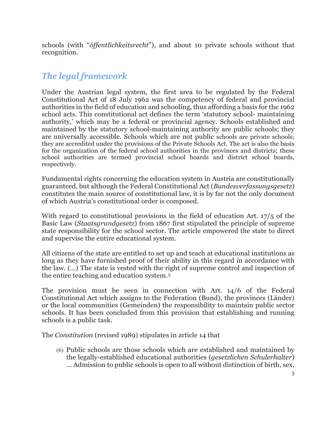schools (with "*öffentlichkeitsrecht*"), and about 10 private schools without that recognition.

### *The legal framework*

Under the Austrian legal system, the first area to be regulated by the Federal Constitutional Act of 18 July 1962 was the competency of federal and provincial authorities in the field of education and schooling, thus affording a basis for the 1962 school acts. This constitutional act defines the term 'statutory school- maintaining authority,' which may be a federal or provincial agency. Schools established and maintained by the statutory school-maintaining authority are public schools; they are universally accessible. Schools which are not public schools are private schools; they are accredited under the provisions of the Private Schools Act. The act is also the basis for the organization of the federal school authorities in the provinces and districts; these school authorities are termed provincial school boards and district school boards, respectively.

Fundamental rights concerning the education system in Austria are constitutionally guaranteed, but although the Federal Constitutional Act (*Bundesverfassungsgesetz*) constitutes the main source of constitutional law, it is by far not the only document of which Austria's constitutional order is composed.

With regard to constitutional provisions in the field of education Art. 17/5 of the Basic Law (*Staatsgrundgesetz*) from 1867 first stipulated the principle of supreme state responsibility for the school sector. The article empowered the state to direct and supervise the entire educational system.

All citizens of the state are entitled to set up and teach at educational institutions as long as they have furnished proof of their ability in this regard in accordance with the law. (...) The state is vested with the right of supreme control and inspection of the entire teaching and education system.[5](#page-13-4)

The provision must be seen in connection with Art. 14/6 of the Federal Constitutional Act which assigns to the Federation (Bund), the provinces (Länder) or the local communities (Gemeinden) the responsibility to maintain public sector schools. It has been concluded from this provision that establishing and running schools is a public task.

The *Constitution* (revised 1989) stipulates in article 14 that

(6) Public schools are those schools which are established and maintained by the legally-established educational authorities (*gesetzlichen Schulerhalter*) ... Admission to public schools is open to all without distinction of birth, sex,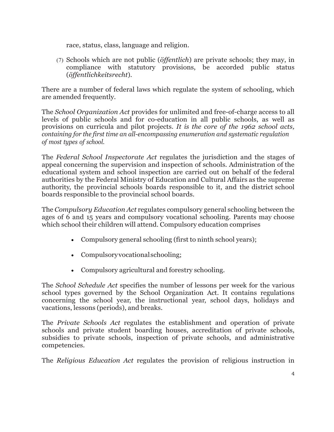race, status, class, language and religion.

(7) Schools which are not public (*öffentlich*) are private schools; they may, in compliance with statutory provisions, be accorded public status (*öffentlichkeitsrecht*).

There are a number of federal laws which regulate the system of schooling, which are amended frequently.

The *School Organization Act* provides for unlimited and free-of-charge access to all levels of public schools and for co-education in all public schools, as well as provisions on curricula and pilot projects. *It is the core of the 1962 school acts, containing for the first time an all-encompassing enumeration and systematic regulation of most types of school.*

The *Federal School Inspectorate Act* regulates the jurisdiction and the stages of appeal concerning the supervision and inspection of schools. Administration of the educational system and school inspection are carried out on behalf of the federal authorities by the Federal Ministry of Education and Cultural Affairs as the supreme authority, the provincial schools boards responsible to it, and the district school boards responsible to the provincial school boards.

The *Compulsory Education Act* regulates compulsory general schooling between the ages of 6 and 15 years and compulsory vocational schooling. Parents may choose which school their children will attend. Compulsory education comprises

- Compulsory general schooling (first to ninth school years);
- Compulsoryvocationalschooling;
- Compulsory agricultural and forestry schooling.

The *School Schedule Act* specifies the number of lessons per week for the various school types governed by the School Organization Act. It contains regulations concerning the school year, the instructional year, school days, holidays and vacations, lessons (periods), and breaks.

The *Private Schools Act* regulates the establishment and operation of private schools and private student boarding houses, accreditation of private schools, subsidies to private schools, inspection of private schools, and administrative competencies.

The *Religious Education Act* regulates the provision of religious instruction in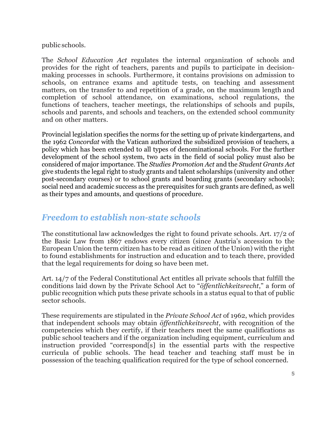#### public schools.

The *School Education Act* regulates the internal organization of schools and provides for the right of teachers, parents and pupils to participate in decisionmaking processes in schools. Furthermore, it contains provisions on admission to schools, on entrance exams and aptitude tests, on teaching and assessment matters, on the transfer to and repetition of a grade, on the maximum length and completion of school attendance, on examinations, school regulations, the functions of teachers, teacher meetings, the relationships of schools and pupils, schools and parents, and schools and teachers, on the extended school community and on other matters.

Provincial legislation specifies the norms for the setting up of private kindergartens, and the 1962 *Concordat* with the Vatican authorized the subsidized provision of teachers, a policy which has been extended to all types of denominational schools. For the further development of the school system, two acts in the field of social policy must also be considered of major importance. The *Studies Promotion Act* and the *Student Grants Act*  give students the legal right to study grants and talent scholarships (university and other post-secondary courses) or to school grants and boarding grants (secondary schools); social need and academic success as the prerequisites for such grants are defined, as well as their types and amounts, and questions of procedure.

### *Freedom to establish non-state schools*

The constitutional law acknowledges the right to found private schools. Art. 17/2 of the Basic Law from 1867 endows every citizen (since Austria's accession to the European Union the term citizen has to be read as citizen of the Union) with the right to found establishments for instruction and education and to teach there, provided that the legal requirements for doing so have been met.

Art. 14/7 of the Federal Constitutional Act entitles all private schools that fulfill the conditions laid down by the Private School Act to "*öffentlichkeitsrecht*," a form of public recognition which puts these private schools in a status equal to that of public sector schools.

These requirements are stipulated in the *Private School Act* of 1962, which provides that independent schools may obtain *öffentlichkeitsrecht*, with recognition of the competencies which they certify, if their teachers meet the same qualifications as public school teachers and if the organization including equipment, curriculum and instruction provided "correspond[s] in the essential parts with the respective curricula of public schools. The head teacher and teaching staff must be in possession of the teaching qualification required for the type of school concerned.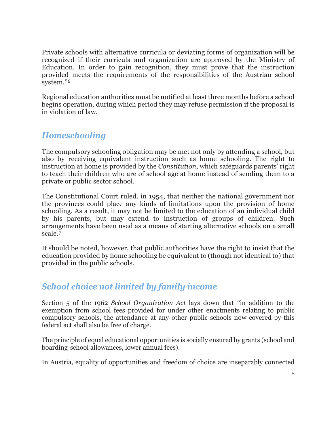Private schools with alternative curricula or deviating forms of organization will be recognized if their curricula and organization are approved by the Ministry of Education. In order to gain recognition, they must prove that the instruction provided meets the requirements of the responsibilities of the Austrian school system."[6](#page-13-5)

Regional education authorities must be notified at least three months before a school begins operation, during which period they may refuse permission if the proposal is in violation of law.

# *Homeschooling*

The compulsory schooling obligation may be met not only by attending a school, but also by receiving equivalent instruction such as home schooling. The right to instruction at home is provided by the *Constitution*, which safeguards parents' right to teach their children who are of school age at home instead of sending them to a private or public sector school.

The Constitutional Court ruled, in 1954, that neither the national government nor the provinces could place any kinds of limitations upon the provision of home schooling. As a result, it may not be limited to the education of an individual child by his parents, but may extend to instruction of groups of children. Such arrangements have been used as a means of starting alternative schools on a small scale.[7](#page-13-6)

It should be noted, however, that public authorities have the right to insist that the education provided by home schooling be equivalent to (though not identical to) that provided in the public schools.

# *School choice not limited by family income*

Section 5 of the 1962 *School Organization Act* lays down that "in addition to the exemption from school fees provided for under other enactments relating to public compulsory schools, the attendance at any other public schools now covered by this federal act shall also be free of charge*.*

The principle of equal educational opportunities is socially ensured by grants (school and boarding-school allowances, lower annual fees).

In Austria, equality of opportunities and freedom of choice are inseparably connected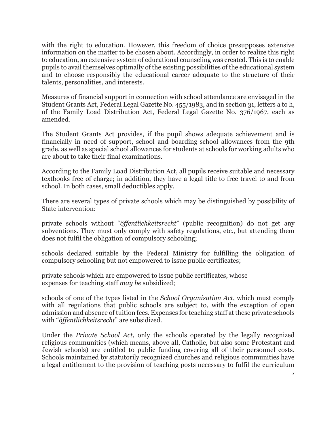with the right to education. However, this freedom of choice presupposes extensive information on the matter to be chosen about. Accordingly, in order to realize this right to education, an extensive system of educational counseling was created. This is to enable pupils to avail themselves optimally of the existing possibilities of the educational system and to choose responsibly the educational career adequate to the structure of their talents, personalities, and interests.

Measures of financial support in connection with school attendance are envisaged in the Student Grants Act, Federal Legal Gazette No. 455/1983, and in section 31, letters a to h, of the Family Load Distribution Act, Federal Legal Gazette No. 376/1967, each as amended.

The Student Grants Act provides, if the pupil shows adequate achievement and is financially in need of support, school and boarding-school allowances from the 9th grade, as well as special school allowances for students at schools for working adults who are about to take their final examinations.

According to the Family Load Distribution Act, all pupils receive suitable and necessary textbooks free of charge; in addition, they have a legal title to free travel to and from school. In both cases, small deductibles apply.

There are several types of private schools which may be distinguished by possibility of State intervention:

private schools without "*öffentlichkeitsrecht*" (public recognition) do not get any subventions. They must only comply with safety regulations, etc., but attending them does not fulfil the obligation of compulsory schooling;

schools declared suitable by the Federal Ministry for fulfilling the obligation of compulsory schooling but not empowered to issue public certificates;

private schools which are empowered to issue public certificates, whose expenses for teaching staff *may be* subsidized;

schools of one of the types listed in the *School Organisation Act*, which must comply with all regulations that public schools are subject to, with the exception of open admission and absence of tuition fees. Expenses for teaching staff at these private schools with "*öffentlichkeitsrecht*" are subsidized.

Under the *Private School Act*, only the schools operated by the legally recognized religious communities (which means, above all, Catholic, but also some Protestant and Jewish schools) are entitled to public funding covering all of their personnel costs. Schools maintained by statutorily recognized churches and religious communities have a legal entitlement to the provision of teaching posts necessary to fulfil the curriculum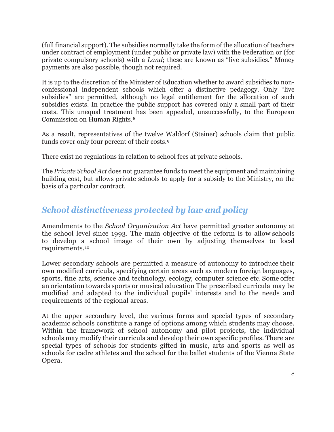(full financial support). The subsidies normally take the form of the allocation of teachers under contract of employment (under public or private law) with the Federation or (for private compulsory schools) with a *Land*; these are known as "live subsidies." Money payments are also possible, though not required.

It is up to the discretion of the Minister of Education whether to award subsidies to nonconfessional independent schools which offer a distinctive pedagogy. Only "live subsidies" are permitted, although no legal entitlement for the allocation of such subsidies exists. In practice the public support has covered only a small part of their costs. This unequal treatment has been appealed, unsuccessfully, to the European Commission on Human Rights.[8](#page-13-7)

As a result, representatives of the twelve Waldorf (Steiner) schools claim that public funds cover only four percent of their costs.[9](#page-13-8)

There exist no regulations in relation to school fees at private schools.

The *Private School Act* does not guarantee funds to meet the equipment and maintaining building cost, but allows private schools to apply for a subsidy to the Ministry, on the basis of a particular contract.

# *School distinctiveness protected by law and policy*

Amendments to the *School Organization Act* have permitted greater autonomy at the school level since 1993. The main objective of the reform is to allow schools to develop a school image of their own by adjusting themselves to local requirements.[10](#page-13-9)

Lower secondary schools are permitted a measure of autonomy to introduce their own modified curricula, specifying certain areas such as modern foreign languages, sports, fine arts, science and technology, ecology, computer science etc. Some offer an orientation towards sports or musical education The prescribed curricula may be modified and adapted to the individual pupils' interests and to the needs and requirements of the regional areas.

At the upper secondary level, the various forms and special types of secondary academic schools constitute a range of options among which students may choose. Within the framework of school autonomy and pilot projects, the individual schools may modify their curricula and develop their own specific profiles. There are special types of schools for students gifted in music, arts and sports as well as schools for cadre athletes and the school for the ballet students of the Vienna State Opera.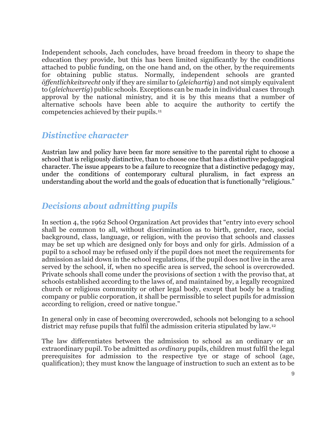Independent schools, Jach concludes, have broad freedom in theory to shape the education they provide, but this has been limited significantly by the conditions attached to public funding, on the one hand and, on the other, by the requirements for obtaining public status. Normally, independent schools are granted *öffentlichkeitsrecht* only if they are similar to (*gleichartig*) and not simply equivalent to (*gleichwertig*) public schools. Exceptions can be made in individual cases through approval by the national ministry, and it is by this means that a number of alternative schools have been able to acquire the authority to certify the competencies achieved by their pupils.[11](#page-13-10)

#### *Distinctive character*

Austrian law and policy have been far more sensitive to the parental right to choose a school that is religiously distinctive, than to choose one that has a distinctive pedagogical character. The issue appears to be a failure to recognize that a distinctive pedagogy may, under the conditions of contemporary cultural pluralism, in fact express an understanding about the world and the goals of education that is functionally "religious."

### *Decisions about admitting pupils*

In section 4, the 1962 School Organization Act provides that "entry into every school shall be common to all, without discrimination as to birth, gender, race, social background, class, language, or religion, with the proviso that schools and classes may be set up which are designed only for boys and only for girls. Admission of a pupil to a school may be refused only if the pupil does not meet the requirements for admission as laid down in the school regulations, if the pupil does not live in the area served by the school, if, when no specific area is served, the school is overcrowded. Private schools shall come under the provisions of section 1 with the proviso that, at schools established according to the laws of, and maintained by, a legally recognized church or religious community or other legal body, except that body be a trading company or public corporation, it shall be permissible to select pupils for admission according to religion, creed or native tongue."

In general only in case of becoming overcrowded, schools not belonging to a school district may refuse pupils that fulfil the admission criteria stipulated by law.[12](#page-13-11)

The law differentiates between the admission to school as an ordinary or an extraordinary pupil. To be admitted as *ordinary* pupils, children must fulfil the legal prerequisites for admission to the respective tye or stage of school (age, qualification); they must know the language of instruction to such an extent as to be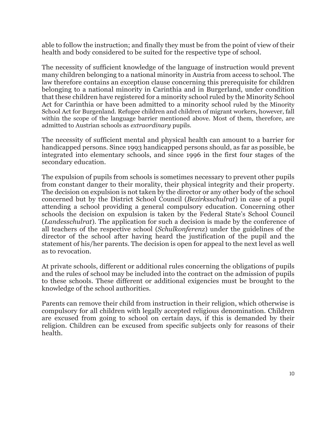able to follow the instruction; and finally they must be from the point of view of their health and body considered to be suited for the respective type of school.

The necessity of sufficient knowledge of the language of instruction would prevent many children belonging to a national minority in Austria from access to school. The law therefore contains an exception clause concerning this prerequisite for children belonging to a national minority in Carinthia and in Burgerland, under condition that these children have registered for a minority school ruled by the Minority School Act for Carinthia or have been admitted to a minority school ruled by the Minority School Act for Burgenland. Refugee children and children of migrant workers, however, fall within the scope of the language barrier mentioned above. Most of them, therefore, are admitted to Austrian schools as *extraordinary* pupils.

The necessity of sufficient mental and physical health can amount to a barrier for handicapped persons. Since 1993 handicapped persons should, as far as possible, be integrated into elementary schools, and since 1996 in the first four stages of the secondary education.

The expulsion of pupils from schools is sometimes necessary to prevent other pupils from constant danger to their morality, their physical integrity and their property. The decision on expulsion is not taken by the director or any other body of the school concerned but by the District School Council (*Bezirksschulrat*) in case of a pupil attending a school providing a general compulsory education. Concerning other schools the decision on expulsion is taken by the Federal State's School Council (*Landesschulrat*). The application for such a decision is made by the conference of all teachers of the respective school (*Schulkonferenz*) under the guidelines of the director of the school after having heard the justification of the pupil and the statement of his/her parents. The decision is open for appeal to the next level as well as to revocation.

At private schools, different or additional rules concerning the obligations of pupils and the rules of school may be included into the contract on the admission of pupils to these schools. These different or additional exigencies must be brought to the knowledge of the school authorities.

Parents can remove their child from instruction in their religion, which otherwise is compulsory for all children with legally accepted religious denomination. Children are excused from going to school on certain days, if this is demanded by their religion. Children can be excused from specific subjects only for reasons of their health.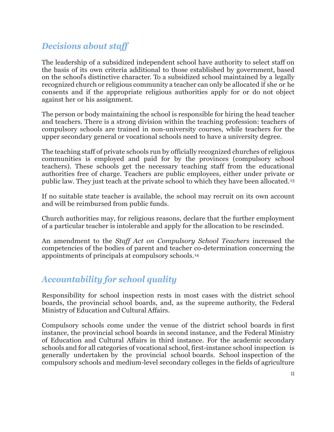# *Decisions about staff*

The leadership of a subsidized independent school have authority to select staff on the basis of its own criteria additional to those established by government, based on the school's distinctive character. To a subsidized school maintained by a legally recognized church or religious community a teacher can only be allocated if she or he consents and if the appropriate religious authorities apply for or do not object against her or his assignment.

The person or body maintaining the school is responsible for hiring the head teacher and teachers. There is a strong division within the teaching profession: teachers of compulsory schools are trained in non-university courses, while teachers for the upper secondary general or vocational schools need to have a university degree.

The teaching staff of private schools run by officially recognized churches of religious communities is employed and paid for by the provinces (compulsory school teachers). These schools get the necessary teaching staff from the educational authorities free of charge. Teachers are public employees, either under private or public law. They just teach at the private school to which they have been allocated.[13](#page-13-12)

If no suitable state teacher is available, the school may recruit on its own account and will be reimbursed from public funds.

Church authorities may, for religious reasons, declare that the further employment of a particular teacher is intolerable and apply for the allocation to be rescinded.

An amendment to the *Staff Act on Compulsory School Teachers* increased the competencies of the bodies of parent and teacher co-determination concerning the appointments of principals at compulsory schools.[14](#page-13-13)

# *Accountability for school quality*

Responsibility for school inspection rests in most cases with the district school boards, the provincial school boards, and, as the supreme authority, the Federal Ministry of Education and Cultural Affairs.

Compulsory schools come under the venue of the district school boards in first instance, the provincial school boards in second instance, and the Federal Ministry of Education and Cultural Affairs in third instance. For the academic secondary schools and for all categories of vocational school, first-instance school inspection is generally undertaken by the provincial school boards. School inspection of the compulsory schools and medium-level secondary colleges in the fields of agriculture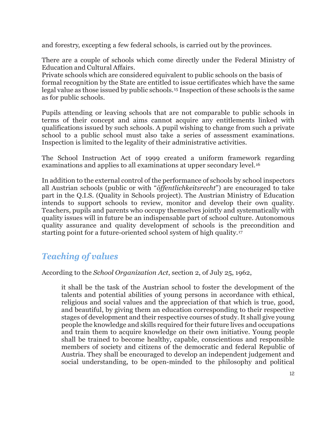and forestry, excepting a few federal schools, is carried out by the provinces.

There are a couple of schools which come directly under the Federal Ministry of Education and Cultural Affairs.

Private schools which are considered equivalent to public schools on the basis of formal recognition by the State are entitled to issue certificates which have the same legal value as those issued by public schools.[15](#page-13-14) Inspection of these schools is the same as for public schools.

Pupils attending or leaving schools that are not comparable to public schools in terms of their concept and aims cannot acquire any entitlements linked with qualifications issued by such schools. A pupil wishing to change from such a private school to a public school must also take a series of assessment examinations. Inspection is limited to the legality of their administrative activities.

The School Instruction Act of 1999 created a uniform framework regarding examinations and applies to all examinations at upper secondary level.<sup>[16](#page-13-15)</sup>

In addition to the external control of the performance of schools by school inspectors all Austrian schools (public or with "*öffentlichkeitsrecht*") are encouraged to take part in the Q.I.S. (Quality in Schools project). The Austrian Ministry of Education intends to support schools to review, monitor and develop their own quality. Teachers, pupils and parents who occupy themselves jointly and systematically with quality issues will in future be an indispensable part of school culture. Autonomous quality assurance and quality development of schools is the precondition and starting point for a future-oriented school system of high quality.[17](#page-14-0)

# *Teaching of values*

According to the *School Organization Act*, section 2, of July 25, 1962,

it shall be the task of the Austrian school to foster the development of the talents and potential abilities of young persons in accordance with ethical, religious and social values and the appreciation of that which is true, good, and beautiful, by giving them an education corresponding to their respective stages of development and their respective courses of study. It shall give young people the knowledge and skills required for their future lives and occupations and train them to acquire knowledge on their own initiative. Young people shall be trained to become healthy, capable, conscientious and responsible members of society and citizens of the democratic and federal Republic of Austria. They shall be encouraged to develop an independent judgement and social understanding, to be open-minded to the philosophy and political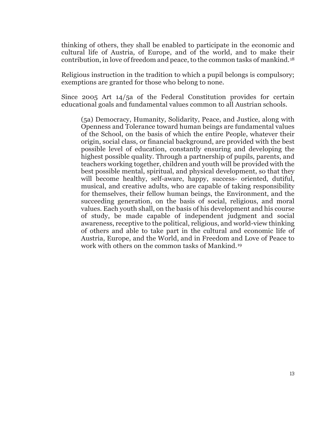thinking of others, they shall be enabled to participate in the economic and cultural life of Austria, of Europe, and of the world, and to make their contribution, in love of freedom and peace, to the common tasks of mankind.[18](#page-14-1)

Religious instruction in the tradition to which a pupil belongs is compulsory; exemptions are granted for those who belong to none.

Since 2005 Art 14/5a of the Federal Constitution provides for certain educational goals and fundamental values common to all Austrian schools.

(5a) Democracy, Humanity, Solidarity, Peace, and Justice, along with Openness and Tolerance toward human beings are fundamental values of the School, on the basis of which the entire People, whatever their origin, social class, or financial background, are provided with the best possible level of education, constantly ensuring and developing the highest possible quality. Through a partnership of pupils, parents, and teachers working together, children and youth will be provided with the best possible mental, spiritual, and physical development, so that they will become healthy, self-aware, happy, success- oriented, dutiful, musical, and creative adults, who are capable of taking responsibility for themselves, their fellow human beings, the Environment, and the succeeding generation, on the basis of social, religious, and moral values. Each youth shall, on the basis of his development and his course of study, be made capable of independent judgment and social awareness, receptive to the political, religious, and world-view thinking of others and able to take part in the cultural and economic life of Austria, Europe, and the World, and in Freedom and Love of Peace to work with others on the common tasks of Mankind.[19](#page-14-2)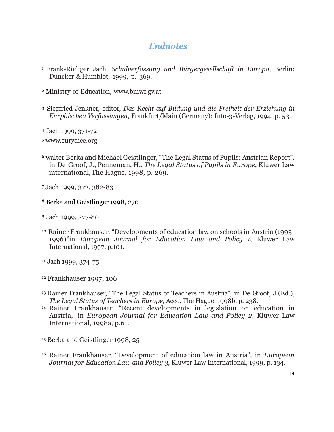## *Endnotes*

- <span id="page-13-0"></span><sup>1</sup> Frank-Rüdiger Jach, *Schulverfassung und Bürgergesellschaft in Europa*, Berlin: Duncker & Humblot, 1999, p. 369.  $\overline{a}$
- <span id="page-13-1"></span><sup>2</sup> Ministry of Education, [www.bmwf.gv.at](http://www.bmwf.gv.at/)
- <span id="page-13-2"></span><sup>3</sup> Siegfried Jenkner, editor, *Das Recht auf Bildung und die Freiheit der Erziehung in Eurpäischen Verfassungen*, Frankfurt/Main (Germany): Info-3-Verlag, 1994, p. 53.
- <span id="page-13-3"></span><sup>4</sup> Jach 1999, 371-72
- <span id="page-13-4"></span><sup>5</sup> [www.eurydice.org](http://www.eurydice.org/)
- <span id="page-13-5"></span><sup>6</sup> walter Berka and Michael Geistlinger, "The Legal Status of Pupils: Austrian Report", in De Groof, J., Penneman, H., *The Legal Status of Pupils in Europe,* Kluwer Law international,The Hague, 1998, p. 269.
- <span id="page-13-6"></span><sup>7</sup> Jach 1999, 372, 382-83
- <span id="page-13-7"></span><sup>8</sup> Berka and Geistlinger 1998, 270
- <span id="page-13-8"></span><sup>9</sup> Jach 1999, 377-80
- <span id="page-13-9"></span><sup>10</sup> Rainer Frankhauser, "Developments of education law on schools in Austria (1993- 1996)"in *European Journal for Education Law and Policy 1*, Kluwer Law International, 1997, p.101.
- <span id="page-13-10"></span><sup>11</sup> Jach 1999, 374-75
- <span id="page-13-11"></span><sup>12</sup> Frankhauser 1997, 106
- <span id="page-13-12"></span><sup>13</sup> Rainer Frankhauser, "The Legal Status of Teachers in Austria", in De Groof, J.(Ed.), *The Legal Status of Teachers in Europe,* Acco, The Hague, 1998b, p. 238.
- <span id="page-13-13"></span><sup>14</sup> Rainer Frankhauser, "Recent developments in legislation on education in Austria, in *European Journal for Education Law and Policy 2*, Kluwer Law International, 1998a, p.61.
- <span id="page-13-14"></span><sup>15</sup> Berka and Geistlinger 1998, 25
- <span id="page-13-15"></span><sup>16</sup> Rainer Frankhauser, "Development of education law in Austria", in *European Journal for Education Law and Policy 3*, Kluwer Law International, 1999, p. 134.